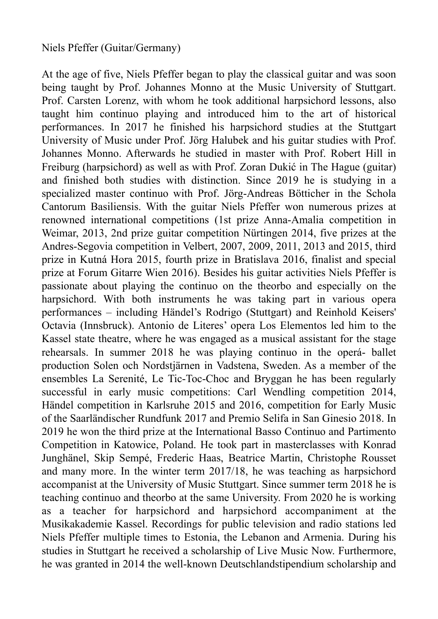## Niels Pfeffer (Guitar/Germany)

At the age of five, Niels Pfeffer began to play the classical guitar and was soon being taught by Prof. Johannes Monno at the Music University of Stuttgart. Prof. Carsten Lorenz, with whom he took additional harpsichord lessons, also taught him continuo playing and introduced him to the art of historical performances. In 2017 he finished his harpsichord studies at the Stuttgart University of Music under Prof. Jörg Halubek and his guitar studies with Prof. Johannes Monno. Afterwards he studied in master with Prof. Robert Hill in Freiburg (harpsichord) as well as with Prof. Zoran Dukić in The Hague (guitar) and finished both studies with distinction. Since 2019 he is studying in a specialized master continuo with Prof. Jörg-Andreas Bötticher in the Schola Cantorum Basiliensis. With the guitar Niels Pfeffer won numerous prizes at renowned international competitions (1st prize Anna-Amalia competition in Weimar, 2013, 2nd prize guitar competition Nürtingen 2014, five prizes at the Andres-Segovia competition in Velbert, 2007, 2009, 2011, 2013 and 2015, third prize in Kutná Hora 2015, fourth prize in Bratislava 2016, finalist and special prize at Forum Gitarre Wien 2016). Besides his guitar activities Niels Pfeffer is passionate about playing the continuo on the theorbo and especially on the harpsichord. With both instruments he was taking part in various opera performances – including Händel's Rodrigo (Stuttgart) and Reinhold Keisers' Octavia (Innsbruck). Antonio de Literes' opera Los Elementos led him to the Kassel state theatre, where he was engaged as a musical assistant for the stage rehearsals. In summer 2018 he was playing continuo in the operá- ballet production Solen och Nordstjärnen in Vadstena, Sweden. As a member of the ensembles La Serenité, Le Tic-Toc-Choc and Bryggan he has been regularly successful in early music competitions: Carl Wendling competition 2014, Händel competition in Karlsruhe 2015 and 2016, competition for Early Music of the Saarländischer Rundfunk 2017 and Premio Selifa in San Ginesio 2018. In 2019 he won the third prize at the International Basso Continuo and Partimento Competition in Katowice, Poland. He took part in masterclasses with Konrad Junghänel, Skip Sempé, Frederic Haas, Beatrice Martin, Christophe Rousset and many more. In the winter term 2017/18, he was teaching as harpsichord accompanist at the University of Music Stuttgart. Since summer term 2018 he is teaching continuo and theorbo at the same University. From 2020 he is working as a teacher for harpsichord and harpsichord accompaniment at the Musikakademie Kassel. Recordings for public television and radio stations led Niels Pfeffer multiple times to Estonia, the Lebanon and Armenia. During his studies in Stuttgart he received a scholarship of Live Music Now. Furthermore, he was granted in 2014 the well-known Deutschlandstipendium scholarship and